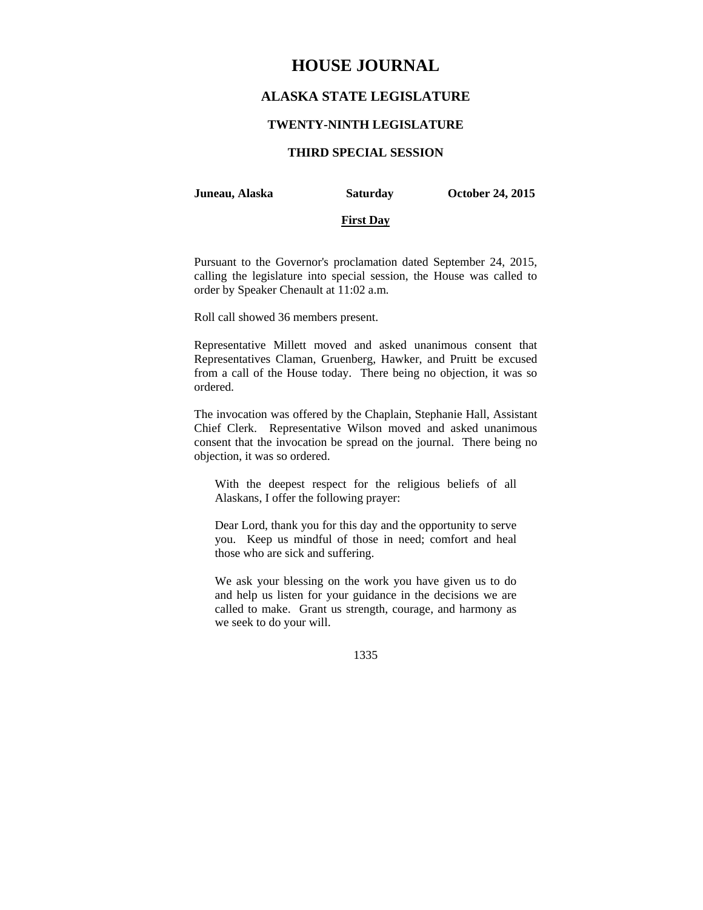# **HOUSE JOURNAL**

## **ALASKA STATE LEGISLATURE**

#### **TWENTY-NINTH LEGISLATURE**

## **THIRD SPECIAL SESSION**

**Juneau, Alaska Saturday October 24, 2015** 

#### **First Day**

Pursuant to the Governor's proclamation dated September 24, 2015, calling the legislature into special session, the House was called to order by Speaker Chenault at 11:02 a.m.

Roll call showed 36 members present.

Representative Millett moved and asked unanimous consent that Representatives Claman, Gruenberg, Hawker, and Pruitt be excused from a call of the House today. There being no objection, it was so ordered.

The invocation was offered by the Chaplain, Stephanie Hall, Assistant Chief Clerk. Representative Wilson moved and asked unanimous consent that the invocation be spread on the journal. There being no objection, it was so ordered.

With the deepest respect for the religious beliefs of all Alaskans, I offer the following prayer:

Dear Lord, thank you for this day and the opportunity to serve you. Keep us mindful of those in need; comfort and heal those who are sick and suffering.

We ask your blessing on the work you have given us to do and help us listen for your guidance in the decisions we are called to make. Grant us strength, courage, and harmony as we seek to do your will.

1335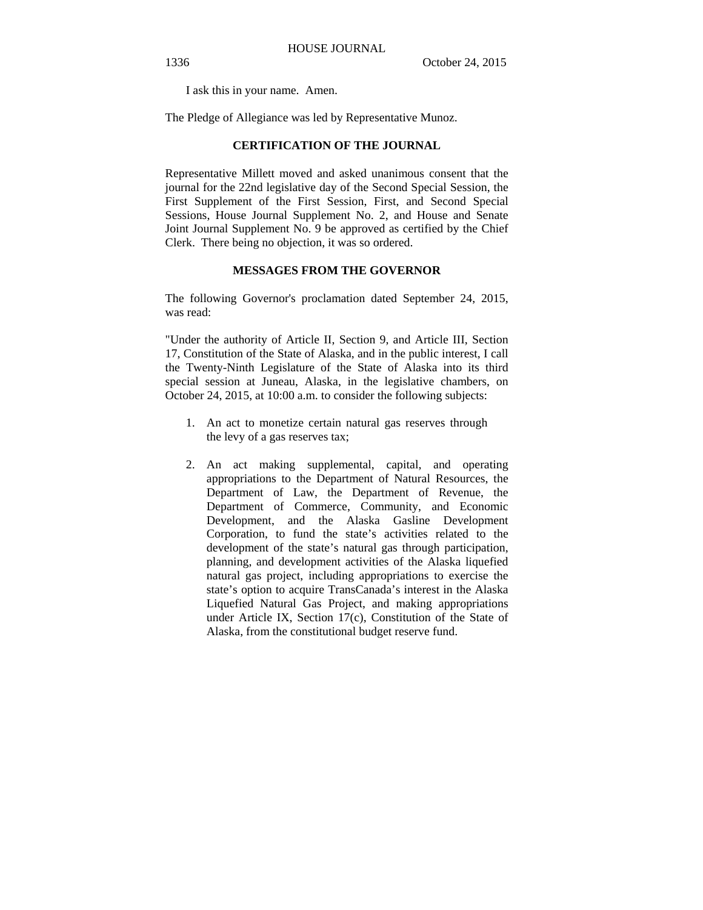I ask this in your name. Amen.

The Pledge of Allegiance was led by Representative Munoz.

#### **CERTIFICATION OF THE JOURNAL**

Representative Millett moved and asked unanimous consent that the journal for the 22nd legislative day of the Second Special Session, the First Supplement of the First Session, First, and Second Special Sessions, House Journal Supplement No. 2, and House and Senate Joint Journal Supplement No. 9 be approved as certified by the Chief Clerk. There being no objection, it was so ordered.

#### **MESSAGES FROM THE GOVERNOR**

The following Governor's proclamation dated September 24, 2015, was read:

"Under the authority of Article II, Section 9, and Article III, Section 17, Constitution of the State of Alaska, and in the public interest, I call the Twenty-Ninth Legislature of the State of Alaska into its third special session at Juneau, Alaska, in the legislative chambers, on October 24, 2015, at 10:00 a.m. to consider the following subjects:

- 1. An act to monetize certain natural gas reserves through the levy of a gas reserves tax;
- 2. An act making supplemental, capital, and operating appropriations to the Department of Natural Resources, the Department of Law, the Department of Revenue, the Department of Commerce, Community, and Economic Development, and the Alaska Gasline Development Corporation, to fund the state's activities related to the development of the state's natural gas through participation, planning, and development activities of the Alaska liquefied natural gas project, including appropriations to exercise the state's option to acquire TransCanada's interest in the Alaska Liquefied Natural Gas Project, and making appropriations under Article IX, Section 17(c), Constitution of the State of Alaska, from the constitutional budget reserve fund.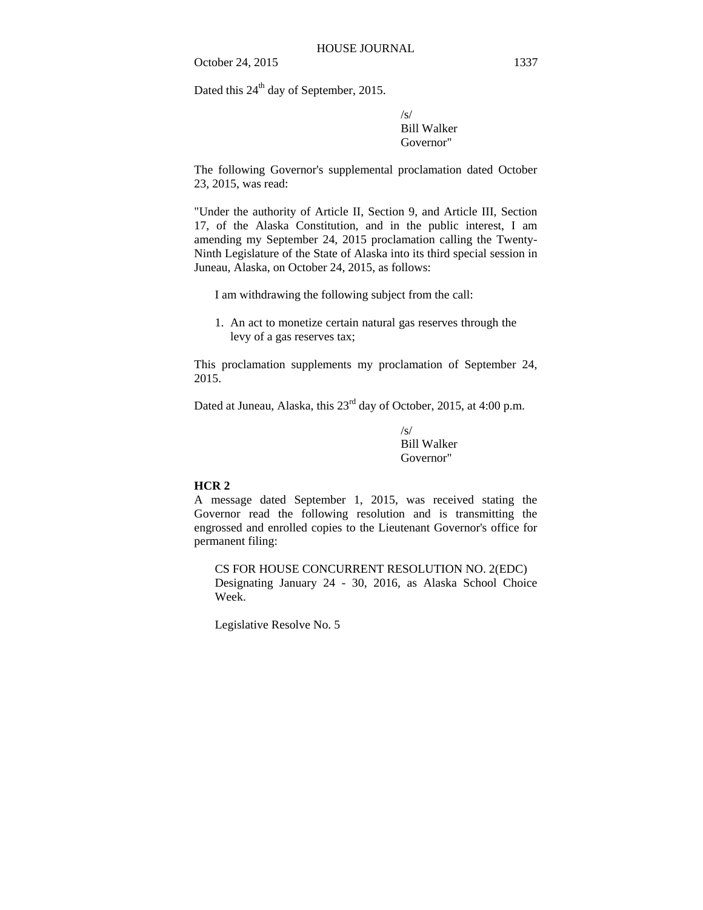Dated this  $24<sup>th</sup>$  day of September, 2015.

/s/ Bill Walker Governor"

The following Governor's supplemental proclamation dated October 23, 2015, was read:

"Under the authority of Article II, Section 9, and Article III, Section 17, of the Alaska Constitution, and in the public interest, I am amending my September 24, 2015 proclamation calling the Twenty-Ninth Legislature of the State of Alaska into its third special session in Juneau, Alaska, on October 24, 2015, as follows:

I am withdrawing the following subject from the call:

1. An act to monetize certain natural gas reserves through the levy of a gas reserves tax;

This proclamation supplements my proclamation of September 24, 2015.

Dated at Juneau, Alaska, this  $23^{\text{rd}}$  day of October, 2015, at 4:00 p.m.

 $\sqrt{s}$ Bill Walker Governor"

## **HCR 2**

A message dated September 1, 2015, was received stating the Governor read the following resolution and is transmitting the engrossed and enrolled copies to the Lieutenant Governor's office for permanent filing:

CS FOR HOUSE CONCURRENT RESOLUTION NO. 2(EDC) Designating January 24 - 30, 2016, as Alaska School Choice Week.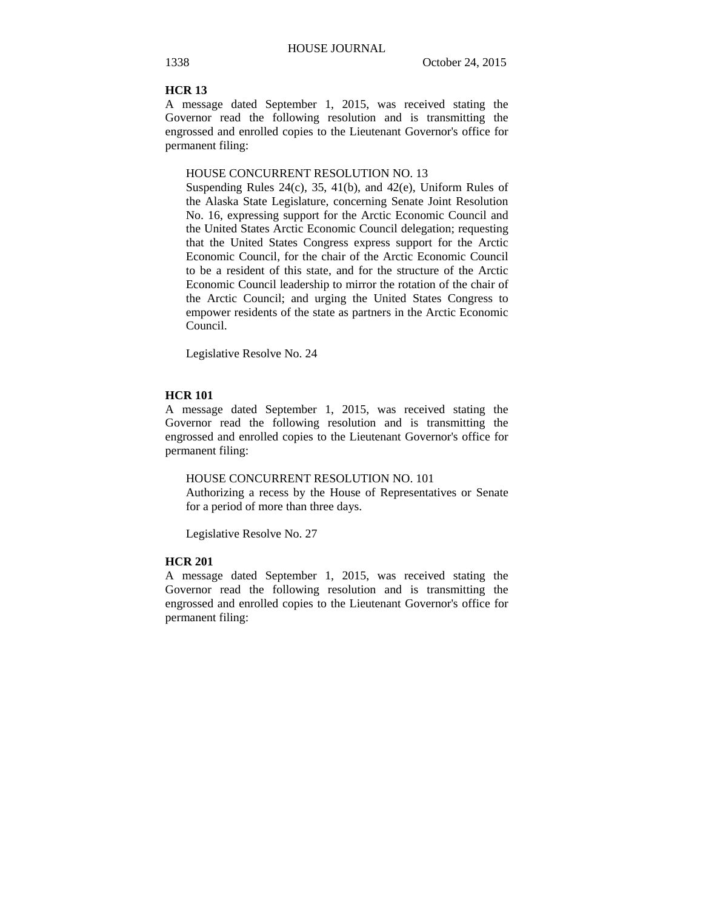#### **HCR 13**

A message dated September 1, 2015, was received stating the Governor read the following resolution and is transmitting the engrossed and enrolled copies to the Lieutenant Governor's office for permanent filing:

#### HOUSE CONCURRENT RESOLUTION NO. 13

Suspending Rules  $24(c)$ ,  $35$ ,  $41(b)$ , and  $42(e)$ , Uniform Rules of the Alaska State Legislature, concerning Senate Joint Resolution No. 16, expressing support for the Arctic Economic Council and the United States Arctic Economic Council delegation; requesting that the United States Congress express support for the Arctic Economic Council, for the chair of the Arctic Economic Council to be a resident of this state, and for the structure of the Arctic Economic Council leadership to mirror the rotation of the chair of the Arctic Council; and urging the United States Congress to empower residents of the state as partners in the Arctic Economic Council.

Legislative Resolve No. 24

#### **HCR 101**

A message dated September 1, 2015, was received stating the Governor read the following resolution and is transmitting the engrossed and enrolled copies to the Lieutenant Governor's office for permanent filing:

#### HOUSE CONCURRENT RESOLUTION NO. 101

Authorizing a recess by the House of Representatives or Senate for a period of more than three days.

Legislative Resolve No. 27

#### **HCR 201**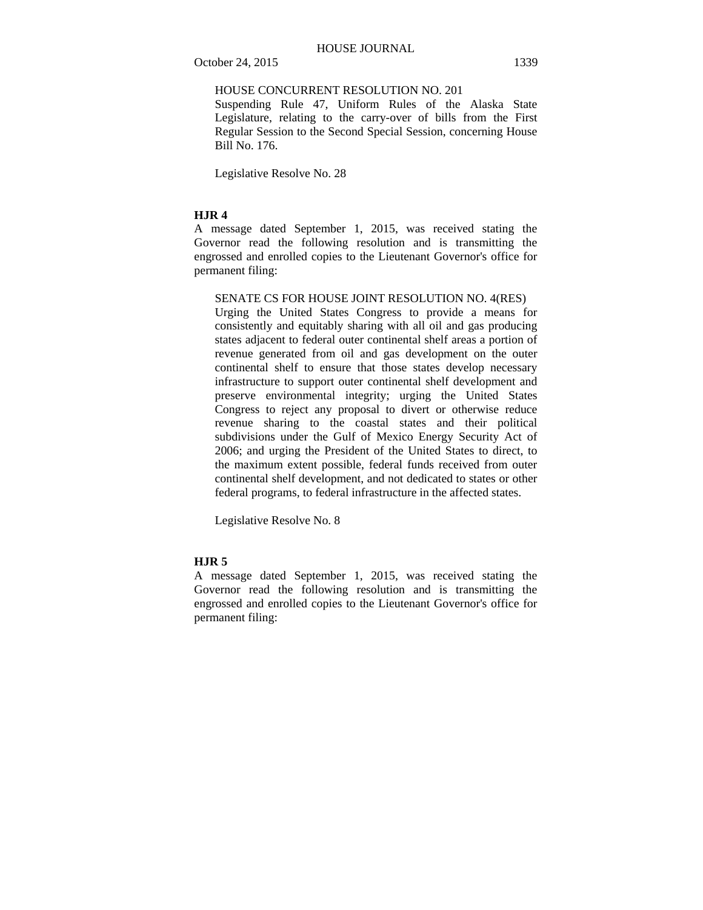#### HOUSE CONCURRENT RESOLUTION NO. 201

Suspending Rule 47, Uniform Rules of the Alaska State Legislature, relating to the carry-over of bills from the First Regular Session to the Second Special Session, concerning House Bill No. 176.

Legislative Resolve No. 28

## **HJR 4**

A message dated September 1, 2015, was received stating the Governor read the following resolution and is transmitting the engrossed and enrolled copies to the Lieutenant Governor's office for permanent filing:

## SENATE CS FOR HOUSE JOINT RESOLUTION NO. 4(RES)

Urging the United States Congress to provide a means for consistently and equitably sharing with all oil and gas producing states adjacent to federal outer continental shelf areas a portion of revenue generated from oil and gas development on the outer continental shelf to ensure that those states develop necessary infrastructure to support outer continental shelf development and preserve environmental integrity; urging the United States Congress to reject any proposal to divert or otherwise reduce revenue sharing to the coastal states and their political subdivisions under the Gulf of Mexico Energy Security Act of 2006; and urging the President of the United States to direct, to the maximum extent possible, federal funds received from outer continental shelf development, and not dedicated to states or other federal programs, to federal infrastructure in the affected states.

Legislative Resolve No. 8

## **HJR 5**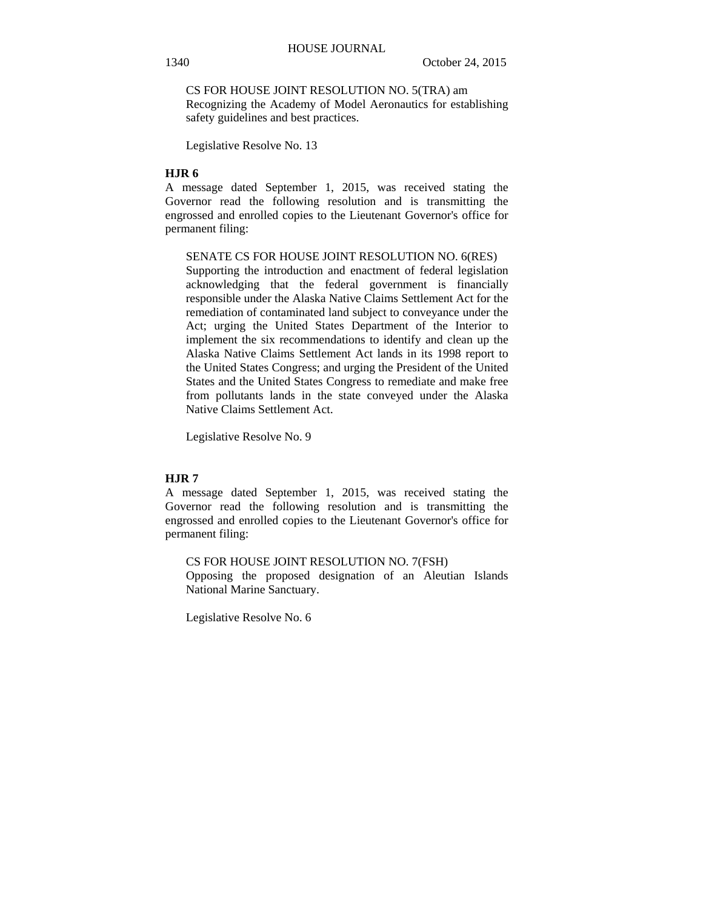CS FOR HOUSE JOINT RESOLUTION NO. 5(TRA) am Recognizing the Academy of Model Aeronautics for establishing safety guidelines and best practices.

Legislative Resolve No. 13

## **HJR 6**

A message dated September 1, 2015, was received stating the Governor read the following resolution and is transmitting the engrossed and enrolled copies to the Lieutenant Governor's office for permanent filing:

#### SENATE CS FOR HOUSE JOINT RESOLUTION NO. 6(RES)

Supporting the introduction and enactment of federal legislation acknowledging that the federal government is financially responsible under the Alaska Native Claims Settlement Act for the remediation of contaminated land subject to conveyance under the Act; urging the United States Department of the Interior to implement the six recommendations to identify and clean up the Alaska Native Claims Settlement Act lands in its 1998 report to the United States Congress; and urging the President of the United States and the United States Congress to remediate and make free from pollutants lands in the state conveyed under the Alaska Native Claims Settlement Act.

Legislative Resolve No. 9

## **HJR 7**

A message dated September 1, 2015, was received stating the Governor read the following resolution and is transmitting the engrossed and enrolled copies to the Lieutenant Governor's office for permanent filing:

### CS FOR HOUSE JOINT RESOLUTION NO. 7(FSH)

Opposing the proposed designation of an Aleutian Islands National Marine Sanctuary.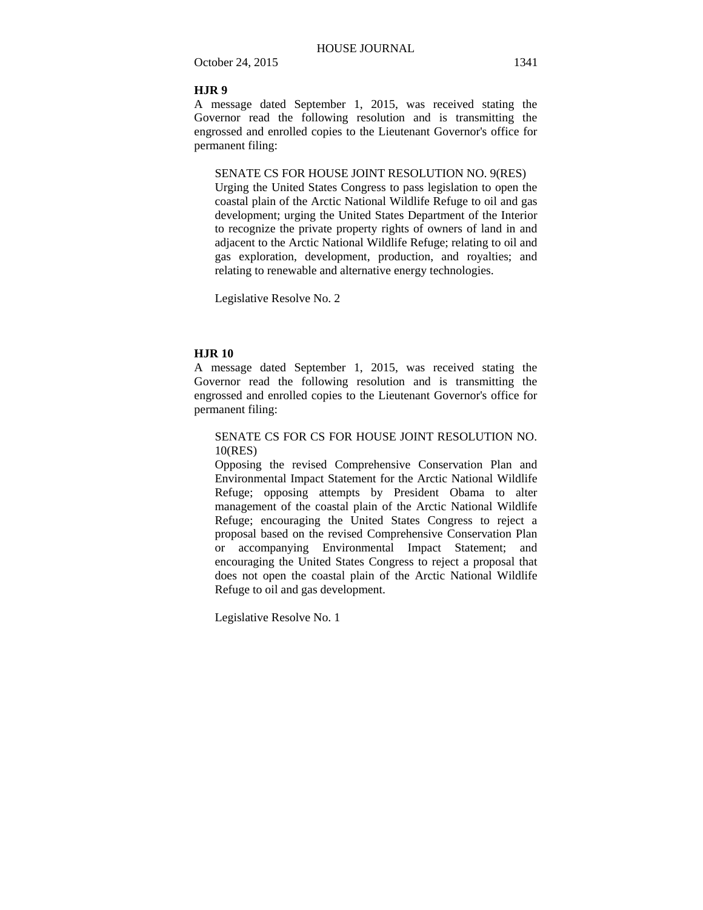## **HJR 9**

A message dated September 1, 2015, was received stating the Governor read the following resolution and is transmitting the engrossed and enrolled copies to the Lieutenant Governor's office for permanent filing:

SENATE CS FOR HOUSE JOINT RESOLUTION NO. 9(RES)

Urging the United States Congress to pass legislation to open the coastal plain of the Arctic National Wildlife Refuge to oil and gas development; urging the United States Department of the Interior to recognize the private property rights of owners of land in and adjacent to the Arctic National Wildlife Refuge; relating to oil and gas exploration, development, production, and royalties; and relating to renewable and alternative energy technologies.

Legislative Resolve No. 2

## **HJR 10**

A message dated September 1, 2015, was received stating the Governor read the following resolution and is transmitting the engrossed and enrolled copies to the Lieutenant Governor's office for permanent filing:

SENATE CS FOR CS FOR HOUSE JOINT RESOLUTION NO. 10(RES)

Opposing the revised Comprehensive Conservation Plan and Environmental Impact Statement for the Arctic National Wildlife Refuge; opposing attempts by President Obama to alter management of the coastal plain of the Arctic National Wildlife Refuge; encouraging the United States Congress to reject a proposal based on the revised Comprehensive Conservation Plan or accompanying Environmental Impact Statement; and encouraging the United States Congress to reject a proposal that does not open the coastal plain of the Arctic National Wildlife Refuge to oil and gas development.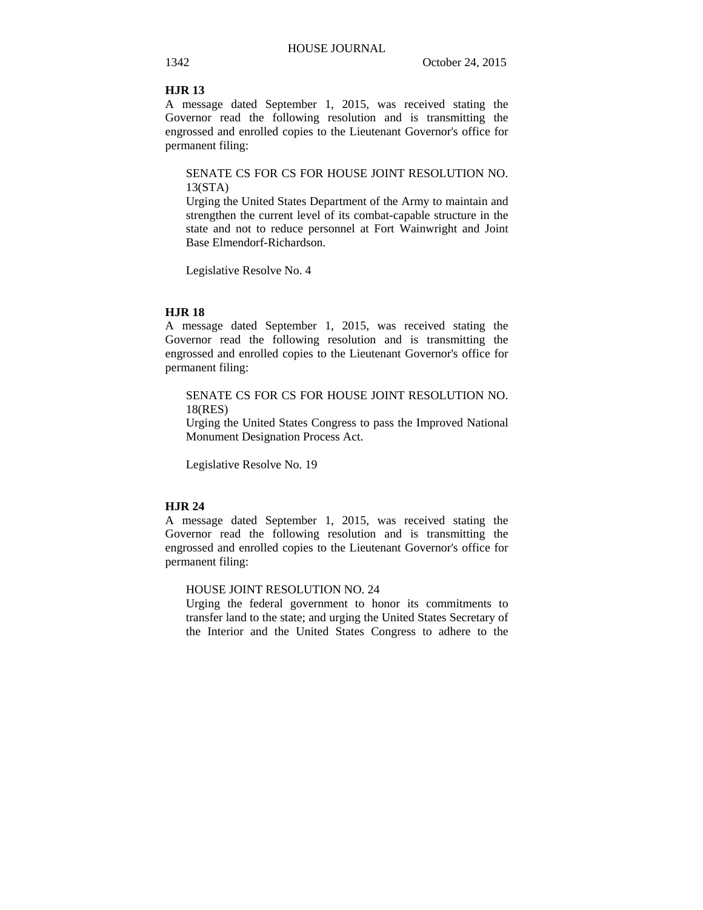#### **HJR 13**

A message dated September 1, 2015, was received stating the Governor read the following resolution and is transmitting the engrossed and enrolled copies to the Lieutenant Governor's office for permanent filing:

## SENATE CS FOR CS FOR HOUSE JOINT RESOLUTION NO. 13(STA)

Urging the United States Department of the Army to maintain and strengthen the current level of its combat-capable structure in the state and not to reduce personnel at Fort Wainwright and Joint Base Elmendorf-Richardson.

Legislative Resolve No. 4

#### **HJR 18**

A message dated September 1, 2015, was received stating the Governor read the following resolution and is transmitting the engrossed and enrolled copies to the Lieutenant Governor's office for permanent filing:

## SENATE CS FOR CS FOR HOUSE JOINT RESOLUTION NO. 18(RES)

Urging the United States Congress to pass the Improved National Monument Designation Process Act.

Legislative Resolve No. 19

## **HJR 24**

A message dated September 1, 2015, was received stating the Governor read the following resolution and is transmitting the engrossed and enrolled copies to the Lieutenant Governor's office for permanent filing:

HOUSE JOINT RESOLUTION NO. 24

Urging the federal government to honor its commitments to transfer land to the state; and urging the United States Secretary of the Interior and the United States Congress to adhere to the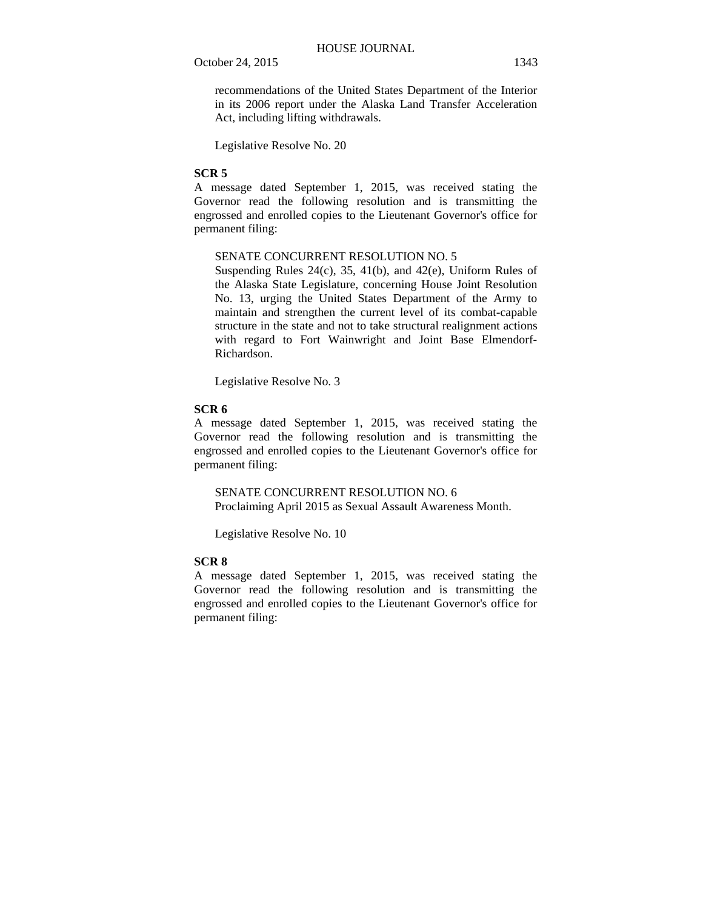recommendations of the United States Department of the Interior in its 2006 report under the Alaska Land Transfer Acceleration Act, including lifting withdrawals.

Legislative Resolve No. 20

## **SCR 5**

A message dated September 1, 2015, was received stating the Governor read the following resolution and is transmitting the engrossed and enrolled copies to the Lieutenant Governor's office for permanent filing:

#### SENATE CONCURRENT RESOLUTION NO. 5

Suspending Rules 24(c), 35, 41(b), and 42(e), Uniform Rules of the Alaska State Legislature, concerning House Joint Resolution No. 13, urging the United States Department of the Army to maintain and strengthen the current level of its combat-capable structure in the state and not to take structural realignment actions with regard to Fort Wainwright and Joint Base Elmendorf-Richardson.

Legislative Resolve No. 3

#### **SCR 6**

A message dated September 1, 2015, was received stating the Governor read the following resolution and is transmitting the engrossed and enrolled copies to the Lieutenant Governor's office for permanent filing:

SENATE CONCURRENT RESOLUTION NO. 6 Proclaiming April 2015 as Sexual Assault Awareness Month.

Legislative Resolve No. 10

## **SCR 8**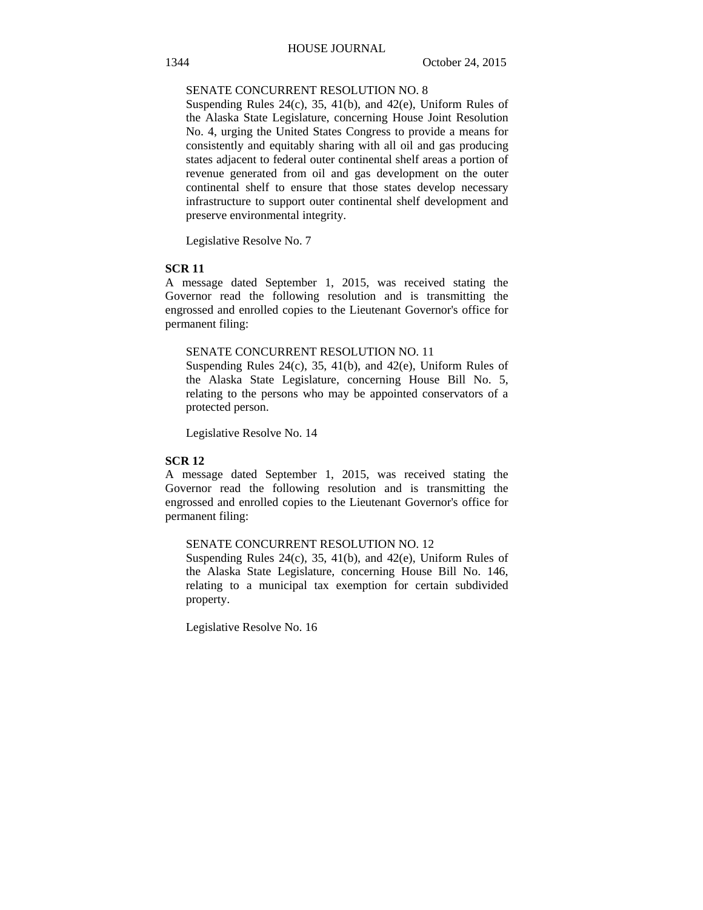## SENATE CONCURRENT RESOLUTION NO. 8

Suspending Rules 24(c), 35, 41(b), and 42(e), Uniform Rules of the Alaska State Legislature, concerning House Joint Resolution No. 4, urging the United States Congress to provide a means for consistently and equitably sharing with all oil and gas producing states adjacent to federal outer continental shelf areas a portion of revenue generated from oil and gas development on the outer continental shelf to ensure that those states develop necessary infrastructure to support outer continental shelf development and preserve environmental integrity.

Legislative Resolve No. 7

#### **SCR 11**

A message dated September 1, 2015, was received stating the Governor read the following resolution and is transmitting the engrossed and enrolled copies to the Lieutenant Governor's office for permanent filing:

#### SENATE CONCURRENT RESOLUTION NO. 11

Suspending Rules 24(c), 35, 41(b), and 42(e), Uniform Rules of the Alaska State Legislature, concerning House Bill No. 5, relating to the persons who may be appointed conservators of a protected person.

Legislative Resolve No. 14

#### **SCR 12**

A message dated September 1, 2015, was received stating the Governor read the following resolution and is transmitting the engrossed and enrolled copies to the Lieutenant Governor's office for permanent filing:

## SENATE CONCURRENT RESOLUTION NO. 12

Suspending Rules 24(c), 35, 41(b), and 42(e), Uniform Rules of the Alaska State Legislature, concerning House Bill No. 146, relating to a municipal tax exemption for certain subdivided property.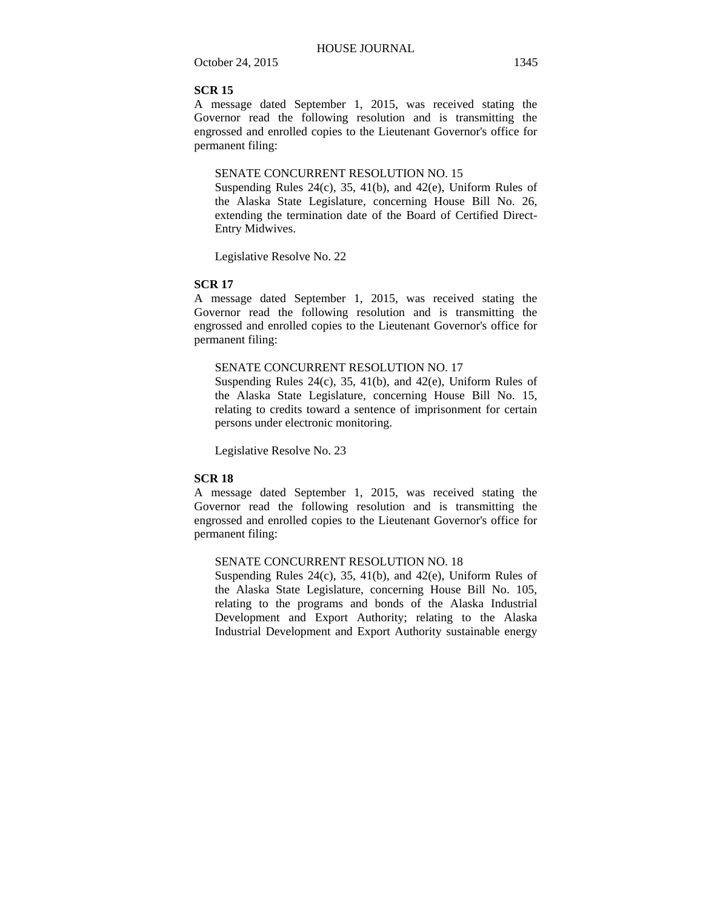A message dated September 1, 2015, was received stating the Governor read the following resolution and is transmitting the engrossed and enrolled copies to the Lieutenant Governor's office for permanent filing:

#### SENATE CONCURRENT RESOLUTION NO. 15

Suspending Rules  $24(c)$ ,  $35$ ,  $41(b)$ , and  $42(e)$ , Uniform Rules of the Alaska State Legislature, concerning House Bill No. 26, extending the termination date of the Board of Certified Direct-Entry Midwives.

Legislative Resolve No. 22

#### **SCR 17**

A message dated September 1, 2015, was received stating the Governor read the following resolution and is transmitting the engrossed and enrolled copies to the Lieutenant Governor's office for permanent filing:

## SENATE CONCURRENT RESOLUTION NO. 17

Suspending Rules 24(c), 35, 41(b), and 42(e), Uniform Rules of the Alaska State Legislature, concerning House Bill No. 15, relating to credits toward a sentence of imprisonment for certain persons under electronic monitoring.

Legislative Resolve No. 23

#### **SCR 18**

A message dated September 1, 2015, was received stating the Governor read the following resolution and is transmitting the engrossed and enrolled copies to the Lieutenant Governor's office for permanent filing:

## SENATE CONCURRENT RESOLUTION NO. 18

Suspending Rules 24(c), 35, 41(b), and 42(e), Uniform Rules of the Alaska State Legislature, concerning House Bill No. 105, relating to the programs and bonds of the Alaska Industrial Development and Export Authority; relating to the Alaska Industrial Development and Export Authority sustainable energy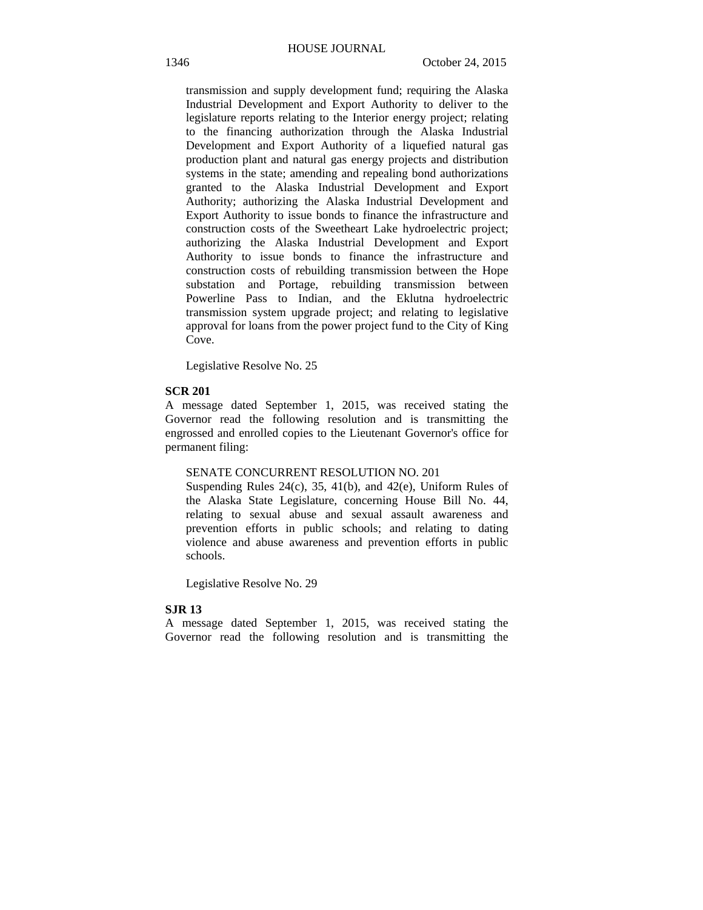transmission and supply development fund; requiring the Alaska Industrial Development and Export Authority to deliver to the legislature reports relating to the Interior energy project; relating to the financing authorization through the Alaska Industrial Development and Export Authority of a liquefied natural gas production plant and natural gas energy projects and distribution systems in the state; amending and repealing bond authorizations granted to the Alaska Industrial Development and Export Authority; authorizing the Alaska Industrial Development and Export Authority to issue bonds to finance the infrastructure and construction costs of the Sweetheart Lake hydroelectric project; authorizing the Alaska Industrial Development and Export Authority to issue bonds to finance the infrastructure and construction costs of rebuilding transmission between the Hope substation and Portage, rebuilding transmission between Powerline Pass to Indian, and the Eklutna hydroelectric transmission system upgrade project; and relating to legislative approval for loans from the power project fund to the City of King Cove.

Legislative Resolve No. 25

#### **SCR 201**

A message dated September 1, 2015, was received stating the Governor read the following resolution and is transmitting the engrossed and enrolled copies to the Lieutenant Governor's office for permanent filing:

#### SENATE CONCURRENT RESOLUTION NO. 201

Suspending Rules 24(c), 35, 41(b), and 42(e), Uniform Rules of the Alaska State Legislature, concerning House Bill No. 44, relating to sexual abuse and sexual assault awareness and prevention efforts in public schools; and relating to dating violence and abuse awareness and prevention efforts in public schools.

Legislative Resolve No. 29

## **SJR 13**

A message dated September 1, 2015, was received stating the Governor read the following resolution and is transmitting the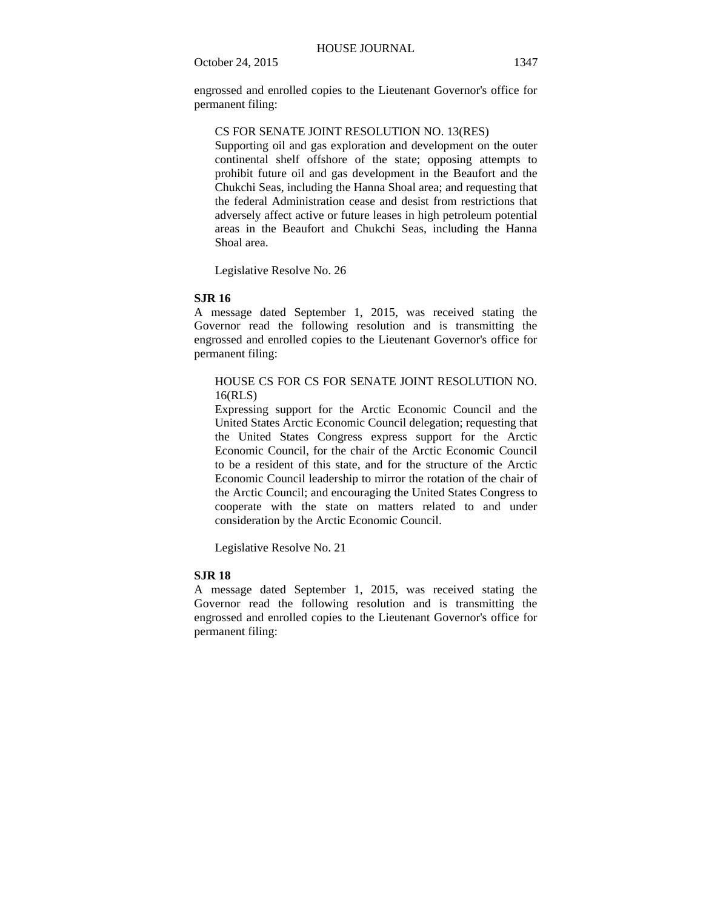engrossed and enrolled copies to the Lieutenant Governor's office for permanent filing:

## CS FOR SENATE JOINT RESOLUTION NO. 13(RES)

Supporting oil and gas exploration and development on the outer continental shelf offshore of the state; opposing attempts to prohibit future oil and gas development in the Beaufort and the Chukchi Seas, including the Hanna Shoal area; and requesting that the federal Administration cease and desist from restrictions that adversely affect active or future leases in high petroleum potential areas in the Beaufort and Chukchi Seas, including the Hanna Shoal area.

Legislative Resolve No. 26

## **SJR 16**

A message dated September 1, 2015, was received stating the Governor read the following resolution and is transmitting the engrossed and enrolled copies to the Lieutenant Governor's office for permanent filing:

## HOUSE CS FOR CS FOR SENATE JOINT RESOLUTION NO. 16(RLS)

Expressing support for the Arctic Economic Council and the United States Arctic Economic Council delegation; requesting that the United States Congress express support for the Arctic Economic Council, for the chair of the Arctic Economic Council to be a resident of this state, and for the structure of the Arctic Economic Council leadership to mirror the rotation of the chair of the Arctic Council; and encouraging the United States Congress to cooperate with the state on matters related to and under consideration by the Arctic Economic Council.

Legislative Resolve No. 21

## **SJR 18**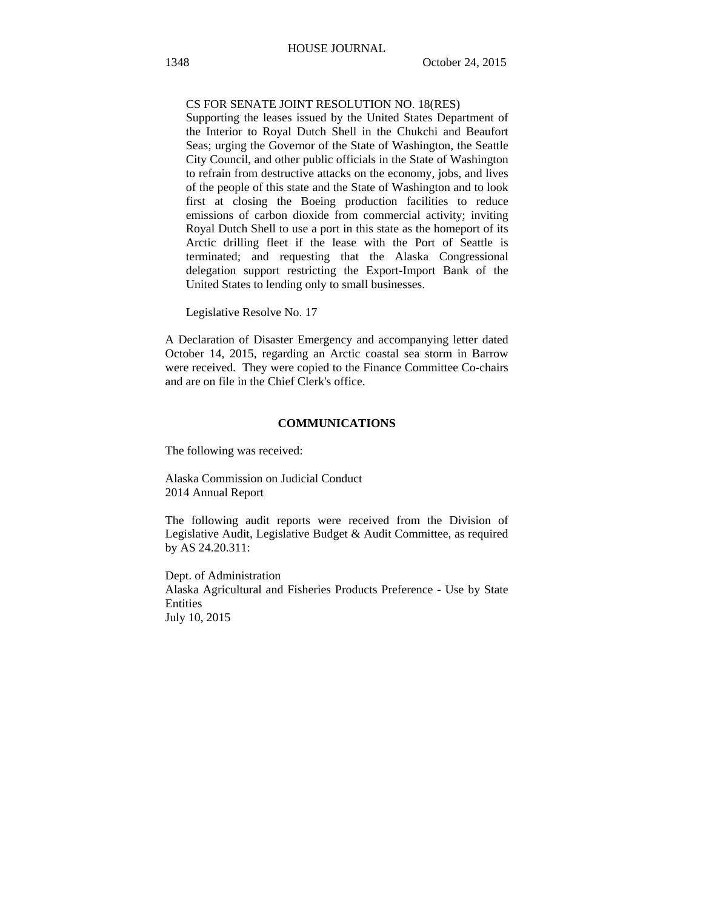#### CS FOR SENATE JOINT RESOLUTION NO. 18(RES)

Supporting the leases issued by the United States Department of the Interior to Royal Dutch Shell in the Chukchi and Beaufort Seas; urging the Governor of the State of Washington, the Seattle City Council, and other public officials in the State of Washington to refrain from destructive attacks on the economy, jobs, and lives of the people of this state and the State of Washington and to look first at closing the Boeing production facilities to reduce emissions of carbon dioxide from commercial activity; inviting Royal Dutch Shell to use a port in this state as the homeport of its Arctic drilling fleet if the lease with the Port of Seattle is terminated; and requesting that the Alaska Congressional delegation support restricting the Export-Import Bank of the United States to lending only to small businesses.

Legislative Resolve No. 17

A Declaration of Disaster Emergency and accompanying letter dated October 14, 2015, regarding an Arctic coastal sea storm in Barrow were received. They were copied to the Finance Committee Co-chairs and are on file in the Chief Clerk's office.

## **COMMUNICATIONS**

The following was received:

Alaska Commission on Judicial Conduct 2014 Annual Report

The following audit reports were received from the Division of Legislative Audit, Legislative Budget & Audit Committee, as required by AS 24.20.311:

Dept. of Administration Alaska Agricultural and Fisheries Products Preference - Use by State Entities July 10, 2015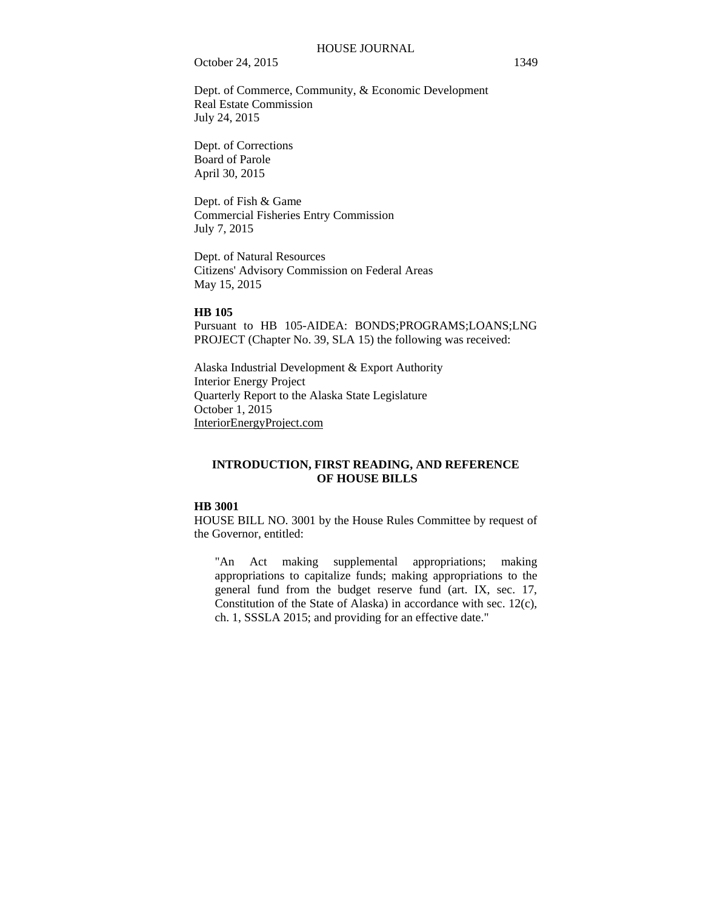Dept. of Commerce, Community, & Economic Development Real Estate Commission July 24, 2015

Dept. of Corrections Board of Parole April 30, 2015

Dept. of Fish & Game Commercial Fisheries Entry Commission July 7, 2015

Dept. of Natural Resources Citizens' Advisory Commission on Federal Areas May 15, 2015

#### **HB 105**

Pursuant to HB 105-AIDEA: BONDS;PROGRAMS;LOANS;LNG PROJECT (Chapter No. 39, SLA 15) the following was received:

Alaska Industrial Development & Export Authority Interior Energy Project Quarterly Report to the Alaska State Legislature October 1, 2015 InteriorEnergyProject.com

## **INTRODUCTION, FIRST READING, AND REFERENCE OF HOUSE BILLS**

#### **HB 3001**

HOUSE BILL NO. 3001 by the House Rules Committee by request of the Governor, entitled:

"An Act making supplemental appropriations; making appropriations to capitalize funds; making appropriations to the general fund from the budget reserve fund (art. IX, sec. 17, Constitution of the State of Alaska) in accordance with sec. 12(c), ch. 1, SSSLA 2015; and providing for an effective date."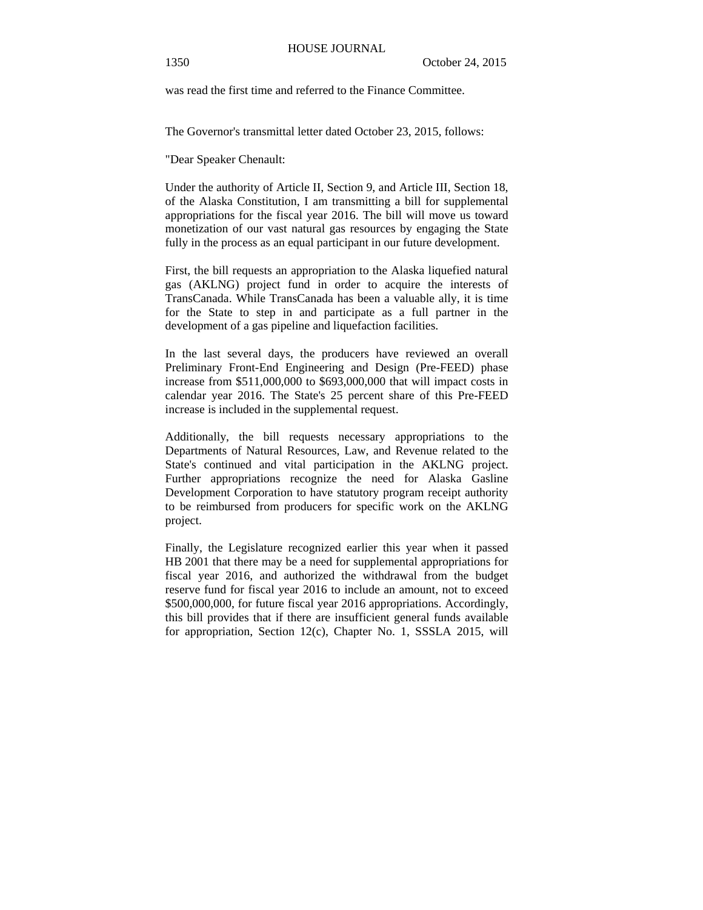was read the first time and referred to the Finance Committee.

The Governor's transmittal letter dated October 23, 2015, follows:

"Dear Speaker Chenault:

Under the authority of Article II, Section 9, and Article III, Section 18, of the Alaska Constitution, I am transmitting a bill for supplemental appropriations for the fiscal year 2016. The bill will move us toward monetization of our vast natural gas resources by engaging the State fully in the process as an equal participant in our future development.

First, the bill requests an appropriation to the Alaska liquefied natural gas (AKLNG) project fund in order to acquire the interests of TransCanada. While TransCanada has been a valuable ally, it is time for the State to step in and participate as a full partner in the development of a gas pipeline and liquefaction facilities.

In the last several days, the producers have reviewed an overall Preliminary Front-End Engineering and Design (Pre-FEED) phase increase from \$511,000,000 to \$693,000,000 that will impact costs in calendar year 2016. The State's 25 percent share of this Pre-FEED increase is included in the supplemental request.

Additionally, the bill requests necessary appropriations to the Departments of Natural Resources, Law, and Revenue related to the State's continued and vital participation in the AKLNG project. Further appropriations recognize the need for Alaska Gasline Development Corporation to have statutory program receipt authority to be reimbursed from producers for specific work on the AKLNG project.

Finally, the Legislature recognized earlier this year when it passed HB 2001 that there may be a need for supplemental appropriations for fiscal year 2016, and authorized the withdrawal from the budget reserve fund for fiscal year 2016 to include an amount, not to exceed \$500,000,000, for future fiscal year 2016 appropriations. Accordingly, this bill provides that if there are insufficient general funds available for appropriation, Section 12(c), Chapter No. 1, SSSLA 2015, will